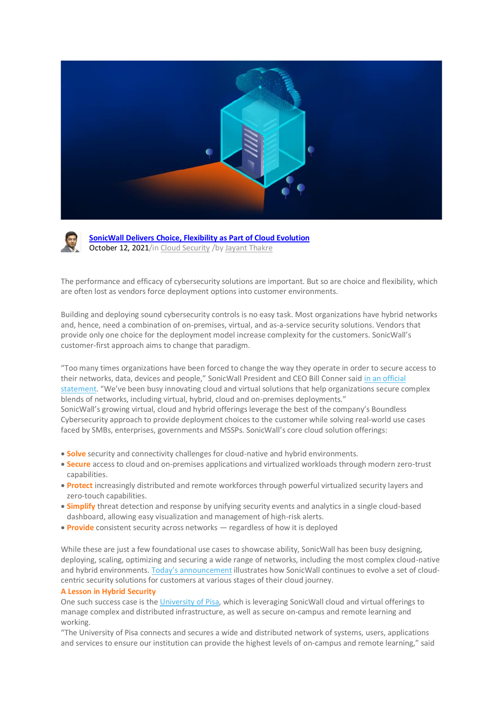



**[SonicWall](https://blog.sonicwall.com/en-us/2021/10/) Delivers Choice, Flexibility as Part of Cloud Evolution** October 12, 2021/in Cloud [Security](https://blog.sonicwall.com/en-us/category/cloud-security/) /by Jayant [Thakre](https://blog.sonicwall.com/en-us/author/jthakre/)

The performance and efficacy of cybersecurity solutions are important. But so are choice and flexibility, which are often lost as vendors force deployment options into customer environments.

Building and deploying sound cybersecurity controls is no easy task. Most organizations have hybrid networks and, hence, need a combination of on-premises, virtual, and as-a-service security solutions. Vendors that provide only one choice for the deployment model increase complexity for the customers. SonicWall's customer-first approach aims to change that paradigm.

"Too many times organizations have been forced to change the way they operate in order to secure access to their networks, data, devices and people," SonicWall President and CEO Bill Conner said in an [official](https://www.sonicwall.com/news/sonicwall-returning-choice-to-customers-by-securing-any-mix-of-cloud-hybrid-and-traditional-networks/) [statement](https://www.sonicwall.com/news/sonicwall-returning-choice-to-customers-by-securing-any-mix-of-cloud-hybrid-and-traditional-networks/). "We've been busy innovating cloud and virtual solutions that help organizations secure complex blends of networks, including virtual, hybrid, cloud and on-premises deployments." SonicWall's growing virtual, cloud and hybrid offerings leverage the best of the company's Boundless Cybersecurity approach to provide deployment choices to the customer while solving real-world use cases faced by SMBs, enterprises, governments and MSSPs. SonicWall's core cloud solution offerings:

- **Solve** security and connectivity challenges for cloud-native and hybrid environments.
- **Secure** access to cloud and on-premises applications and virtualized workloads through modern zero-trust capabilities.
- **Protect** increasingly distributed and remote workforces through powerful virtualized security layers and zero-touch capabilities.
- **Simplify** threat detection and response by unifying security events and analytics in a single cloud-based dashboard, allowing easy visualization and management of high-risk alerts.
- **Provide** consistent security across networks regardless of how it is deployed

While these are just a few foundational use cases to showcase ability, SonicWall has been busy designing, deploying, scaling, optimizing and securing a wide range of networks, including the most complex cloud-native and hybrid environments. Today's [announcement](https://www.sonicwall.com/news/sonicwall-returning-choice-to-customers-by-securing-any-mix-of-cloud-hybrid-and-traditional-networks/) illustrates how SonicWall continues to evolve a set of cloudcentric security solutions for customers at various stages of their cloud journey.

## **A Lesson in Hybrid Security**

One such success case is the [University](https://www.unipi.it/index.php/english) of Pisa, which is leveraging SonicWall cloud and virtual offerings to manage complex and distributed infrastructure, as well as secure on-campus and remote learning and working.

"The University of Pisa connects and secures a wide and distributed network of systems, users, applications and services to ensure our institution can provide the highest levels of on-campus and remote learning," said